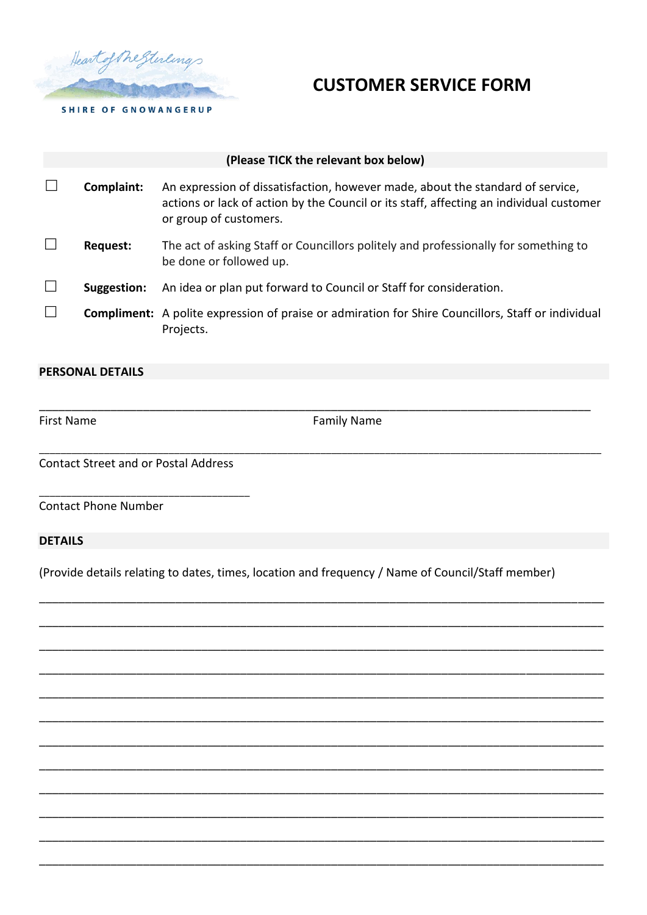

## **CUSTOMER SERVICE FORM**

| (Please TICK the relevant box below) |             |                                                                                                                                                                                                     |  |
|--------------------------------------|-------------|-----------------------------------------------------------------------------------------------------------------------------------------------------------------------------------------------------|--|
|                                      | Complaint:  | An expression of dissatisfaction, however made, about the standard of service,<br>actions or lack of action by the Council or its staff, affecting an individual customer<br>or group of customers. |  |
|                                      | Request:    | The act of asking Staff or Councillors politely and professionally for something to<br>be done or followed up.                                                                                      |  |
| $\mathbf{L}$                         | Suggestion: | An idea or plan put forward to Council or Staff for consideration.                                                                                                                                  |  |
|                                      |             | <b>Compliment:</b> A polite expression of praise or admiration for Shire Councillors, Staff or individual<br>Projects.                                                                              |  |

## **PERSONAL DETAILS**

First Name **Family Name Family Name** 

\_\_\_\_\_\_\_\_\_\_\_\_\_\_\_\_\_\_\_\_\_\_\_\_\_\_\_\_\_\_\_\_\_\_\_\_\_\_\_\_\_\_\_\_\_\_\_\_\_\_\_\_\_\_\_\_\_\_\_\_\_\_\_\_\_\_\_\_\_\_\_\_\_\_\_\_\_\_\_\_\_\_\_\_\_

\_\_\_\_\_\_\_\_\_\_\_\_\_\_\_\_\_\_\_\_\_\_\_\_\_\_\_\_\_\_\_\_\_\_\_\_\_\_\_\_\_\_\_\_\_\_\_\_\_\_\_\_\_\_\_\_\_\_\_\_\_\_\_\_\_\_\_\_\_\_\_\_\_\_\_\_\_\_\_\_\_\_\_\_\_\_\_\_\_\_\_\_\_\_\_\_\_\_\_\_\_\_\_\_

Contact Street and or Postal Address

\_\_\_\_\_\_\_\_\_\_\_\_\_\_\_\_\_\_\_\_\_\_\_\_\_\_\_\_\_\_\_\_\_\_\_\_\_\_\_

Contact Phone Number

## **DETAILS**

(Provide details relating to dates, times, location and frequency / Name of Council/Staff member)

\_\_\_\_\_\_\_\_\_\_\_\_\_\_\_\_\_\_\_\_\_\_\_\_\_\_\_\_\_\_\_\_\_\_\_\_\_\_\_\_\_\_\_\_\_\_\_\_\_\_\_\_\_\_\_\_\_\_\_\_\_\_\_\_\_\_\_\_\_\_\_\_\_\_\_\_\_\_\_\_\_\_\_\_\_\_\_

\_\_\_\_\_\_\_\_\_\_\_\_\_\_\_\_\_\_\_\_\_\_\_\_\_\_\_\_\_\_\_\_\_\_\_\_\_\_\_\_\_\_\_\_\_\_\_\_\_\_\_\_\_\_\_\_\_\_\_\_\_\_\_\_\_\_\_\_\_\_\_\_\_\_\_\_\_\_\_\_\_\_\_\_\_\_\_

\_\_\_\_\_\_\_\_\_\_\_\_\_\_\_\_\_\_\_\_\_\_\_\_\_\_\_\_\_\_\_\_\_\_\_\_\_\_\_\_\_\_\_\_\_\_\_\_\_\_\_\_\_\_\_\_\_\_\_\_\_\_\_\_\_\_\_\_\_\_\_\_\_\_\_\_\_\_\_\_\_\_\_\_\_\_\_

\_\_\_\_\_\_\_\_\_\_\_\_\_\_\_\_\_\_\_\_\_\_\_\_\_\_\_\_\_\_\_\_\_\_\_\_\_\_\_\_\_\_\_\_\_\_\_\_\_\_\_\_\_\_\_\_\_\_\_\_\_\_\_\_\_\_\_\_\_\_\_\_\_\_\_\_\_\_\_\_\_\_\_\_\_\_\_

\_\_\_\_\_\_\_\_\_\_\_\_\_\_\_\_\_\_\_\_\_\_\_\_\_\_\_\_\_\_\_\_\_\_\_\_\_\_\_\_\_\_\_\_\_\_\_\_\_\_\_\_\_\_\_\_\_\_\_\_\_\_\_\_\_\_\_\_\_\_\_\_\_\_\_\_\_\_\_\_\_\_\_\_\_\_\_

\_\_\_\_\_\_\_\_\_\_\_\_\_\_\_\_\_\_\_\_\_\_\_\_\_\_\_\_\_\_\_\_\_\_\_\_\_\_\_\_\_\_\_\_\_\_\_\_\_\_\_\_\_\_\_\_\_\_\_\_\_\_\_\_\_\_\_\_\_\_\_\_\_\_\_\_\_\_\_\_\_\_\_\_\_\_\_

\_\_\_\_\_\_\_\_\_\_\_\_\_\_\_\_\_\_\_\_\_\_\_\_\_\_\_\_\_\_\_\_\_\_\_\_\_\_\_\_\_\_\_\_\_\_\_\_\_\_\_\_\_\_\_\_\_\_\_\_\_\_\_\_\_\_\_\_\_\_\_\_\_\_\_\_\_\_\_\_\_\_\_\_\_\_\_

\_\_\_\_\_\_\_\_\_\_\_\_\_\_\_\_\_\_\_\_\_\_\_\_\_\_\_\_\_\_\_\_\_\_\_\_\_\_\_\_\_\_\_\_\_\_\_\_\_\_\_\_\_\_\_\_\_\_\_\_\_\_\_\_\_\_\_\_\_\_\_\_\_\_\_\_\_\_\_\_\_\_\_\_\_\_\_

\_\_\_\_\_\_\_\_\_\_\_\_\_\_\_\_\_\_\_\_\_\_\_\_\_\_\_\_\_\_\_\_\_\_\_\_\_\_\_\_\_\_\_\_\_\_\_\_\_\_\_\_\_\_\_\_\_\_\_\_\_\_\_\_\_\_\_\_\_\_\_\_\_\_\_\_\_\_\_\_\_\_\_\_\_\_\_

\_\_\_\_\_\_\_\_\_\_\_\_\_\_\_\_\_\_\_\_\_\_\_\_\_\_\_\_\_\_\_\_\_\_\_\_\_\_\_\_\_\_\_\_\_\_\_\_\_\_\_\_\_\_\_\_\_\_\_\_\_\_\_\_\_\_\_\_\_\_\_\_\_\_\_\_\_\_\_\_\_\_\_\_\_\_\_

\_\_\_\_\_\_\_\_\_\_\_\_\_\_\_\_\_\_\_\_\_\_\_\_\_\_\_\_\_\_\_\_\_\_\_\_\_\_\_\_\_\_\_\_\_\_\_\_\_\_\_\_\_\_\_\_\_\_\_\_\_\_\_\_\_\_\_\_\_\_\_\_\_\_\_\_\_\_\_\_\_\_\_\_\_\_\_

\_\_\_\_\_\_\_\_\_\_\_\_\_\_\_\_\_\_\_\_\_\_\_\_\_\_\_\_\_\_\_\_\_\_\_\_\_\_\_\_\_\_\_\_\_\_\_\_\_\_\_\_\_\_\_\_\_\_\_\_\_\_\_\_\_\_\_\_\_\_\_\_\_\_\_\_\_\_\_\_\_\_\_\_\_\_\_